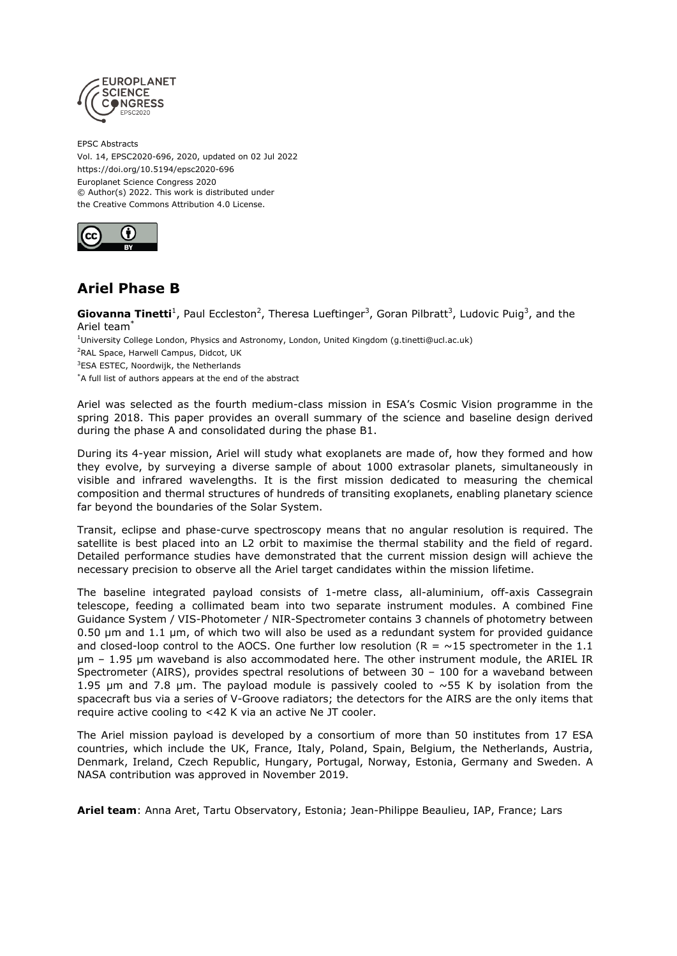

EPSC Abstracts Vol. 14, EPSC2020-696, 2020, updated on 02 Jul 2022 https://doi.org/10.5194/epsc2020-696 Europlanet Science Congress 2020 © Author(s) 2022. This work is distributed under the Creative Commons Attribution 4.0 License.



## **Ariel Phase B**

Giovanna Tinetti<sup>1</sup>, Paul Eccleston<sup>2</sup>, Theresa Lueftinger<sup>3</sup>, Goran Pilbratt<sup>3</sup>, Ludovic Puig<sup>3</sup>, and the Ariel team\*

 $1$ University College London, Physics and Astronomy, London, United Kingdom (g.tinetti@ucl.ac.uk)

<sup>2</sup>RAL Space, Harwell Campus, Didcot, UK

<sup>3</sup>ESA ESTEC, Noordwijk, the Netherlands

\*A full list of authors appears at the end of the abstract

Ariel was selected as the fourth medium-class mission in ESA's Cosmic Vision programme in the spring 2018. This paper provides an overall summary of the science and baseline design derived during the phase A and consolidated during the phase B1.

During its 4-year mission, Ariel will study what exoplanets are made of, how they formed and how they evolve, by surveying a diverse sample of about 1000 extrasolar planets, simultaneously in visible and infrared wavelengths. It is the first mission dedicated to measuring the chemical composition and thermal structures of hundreds of transiting exoplanets, enabling planetary science far beyond the boundaries of the Solar System.

Transit, eclipse and phase-curve spectroscopy means that no angular resolution is required. The satellite is best placed into an L2 orbit to maximise the thermal stability and the field of regard. Detailed performance studies have demonstrated that the current mission design will achieve the necessary precision to observe all the Ariel target candidates within the mission lifetime.

The baseline integrated payload consists of 1-metre class, all-aluminium, off-axis Cassegrain telescope, feeding a collimated beam into two separate instrument modules. A combined Fine Guidance System / VIS-Photometer / NIR-Spectrometer contains 3 channels of photometry between 0.50 µm and 1.1 µm, of which two will also be used as a redundant system for provided guidance and closed-loop control to the AOCS. One further low resolution ( $R = \sim 15$  spectrometer in the 1.1 µm – 1.95 µm waveband is also accommodated here. The other instrument module, the ARIEL IR Spectrometer (AIRS), provides spectral resolutions of between 30 – 100 for a waveband between 1.95 µm and 7.8 µm. The payload module is passively cooled to  $\sim$  55 K by isolation from the spacecraft bus via a series of V-Groove radiators; the detectors for the AIRS are the only items that require active cooling to <42 K via an active Ne JT cooler.

The Ariel mission payload is developed by a consortium of more than 50 institutes from 17 ESA countries, which include the UK, France, Italy, Poland, Spain, Belgium, the Netherlands, Austria, Denmark, Ireland, Czech Republic, Hungary, Portugal, Norway, Estonia, Germany and Sweden. A NASA contribution was approved in November 2019.

**Ariel team**: Anna Aret, Tartu Observatory, Estonia; Jean-Philippe Beaulieu, IAP, France; Lars